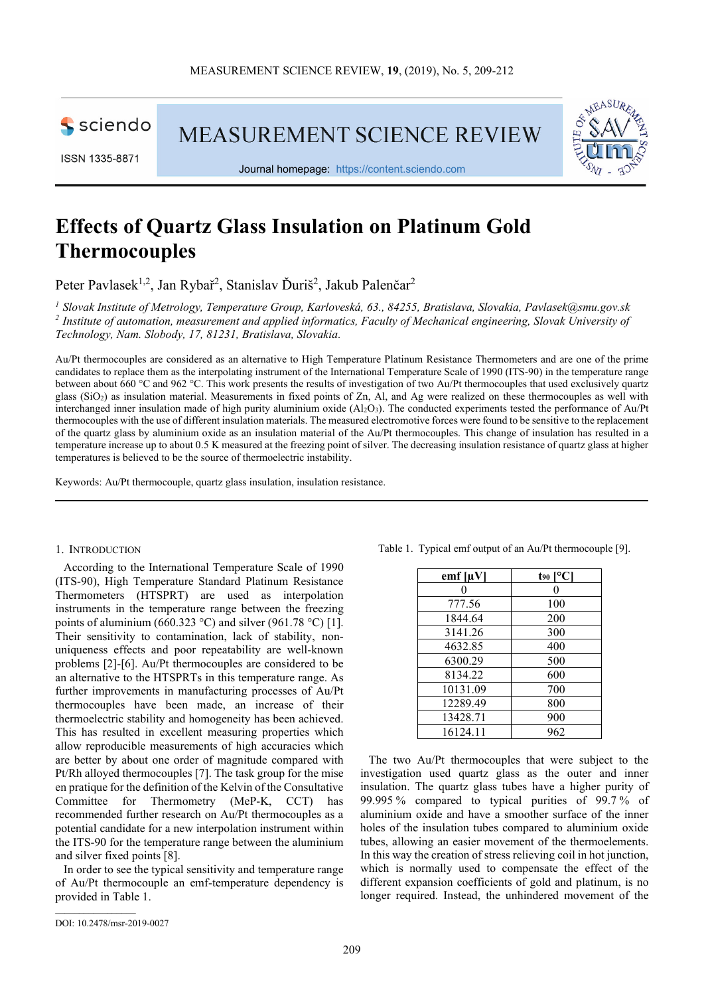

ISSN 1335-8871

**MEASUREMENT SCIENCE REVIEW** 



Journal homepage: https://content.sciendo.com

# **Effects of Quartz Glass Insulation on Platinum Gold Thermocouples**

Peter Pavlasek<sup>1,2</sup>, Jan Rybař<sup>2</sup>, Stanislav Ďuriš<sup>2</sup>, Jakub Palenčar<sup>2</sup>

*<sup>1</sup> Slovak Institute of Metrology, Temperature Group, Karloveská, 63., 84255, Bratislava, Slovakia, Pavlasek@smu.gov.sk*  <sup>2</sup> Institute of automation, measurement and applied informatics, Faculty of Mechanical engineering, Slovak University of *Technology, Nam. Slobody, 17, 81231, Bratislava, Slovakia*.

Au/Pt thermocouples are considered as an alternative to High Temperature Platinum Resistance Thermometers and are one of the prime candidates to replace them as the interpolating instrument of the International Temperature Scale of 1990 (ITS-90) in the temperature range between about 660 °C and 962 °C. This work presents the results of investigation of two Au/Pt thermocouples that used exclusively quartz glass (SiO2) as insulation material. Measurements in fixed points of Zn, Al, and Ag were realized on these thermocouples as well with interchanged inner insulation made of high purity aluminium oxide (Al2O3). The conducted experiments tested the performance of Au/Pt thermocouples with the use of different insulation materials. The measured electromotive forces were found to be sensitive to the replacement of the quartz glass by aluminium oxide as an insulation material of the Au/Pt thermocouples. This change of insulation has resulted in a temperature increase up to about 0.5 K measured at the freezing point of silver. The decreasing insulation resistance of quartz glass at higher temperatures is believed to be the source of thermoelectric instability.

Keywords: Au/Pt thermocouple, quartz glass insulation, insulation resistance.

## 1. INTRODUCTION

According to the International Temperature Scale of 1990 (ITS-90), High Temperature Standard Platinum Resistance Thermometers (HTSPRT) are used as interpolation instruments in the temperature range between the freezing points of aluminium (660.323 °C) and silver (961.78 °C) [1]. Their sensitivity to contamination, lack of stability, nonuniqueness effects and poor repeatability are well-known problems [2]-[6]. Au/Pt thermocouples are considered to be an alternative to the HTSPRTs in this temperature range. As further improvements in manufacturing processes of Au/Pt thermocouples have been made, an increase of their thermoelectric stability and homogeneity has been achieved. This has resulted in excellent measuring properties which allow reproducible measurements of high accuracies which are better by about one order of magnitude compared with Pt/Rh alloyed thermocouples [7]. The task group for the mise en pratique for the definition of the Kelvin of the Consultative Committee for Thermometry (MeP-K, CCT) has recommended further research on Au/Pt thermocouples as a potential candidate for a new interpolation instrument within the ITS-90 for the temperature range between the aluminium and silver fixed points [8].

In order to see the typical sensitivity and temperature range of Au/Pt thermocouple an emf-temperature dependency is provided in Table 1.

Table 1. Typical emf output of an Au/Pt thermocouple [9].

The two Au/Pt thermocouples that were subject to the investigation used quartz glass as the outer and inner insulation. The quartz glass tubes have a higher purity of 99.995 % compared to typical purities of 99.7 % of aluminium oxide and have a smoother surface of the inner holes of the insulation tubes compared to aluminium oxide tubes, allowing an easier movement of the thermoelements. In this way the creation of stress relieving coil in hot junction, which is normally used to compensate the effect of the different expansion coefficients of gold and platinum, is no longer required. Instead, the unhindered movement of the

**emf**  $[\mu V]$  **t**<sub>90</sub>  $[°C]$  $0 \qquad \qquad 0$ 777.56 100 1844.64 200 3141.26 300 4632.85 400 6300.29 | 500 8134.22 600 10131.09 700 12289.49 800 13428.71 900 16124.11 962

DOI: 10.2478/msr-2019-0027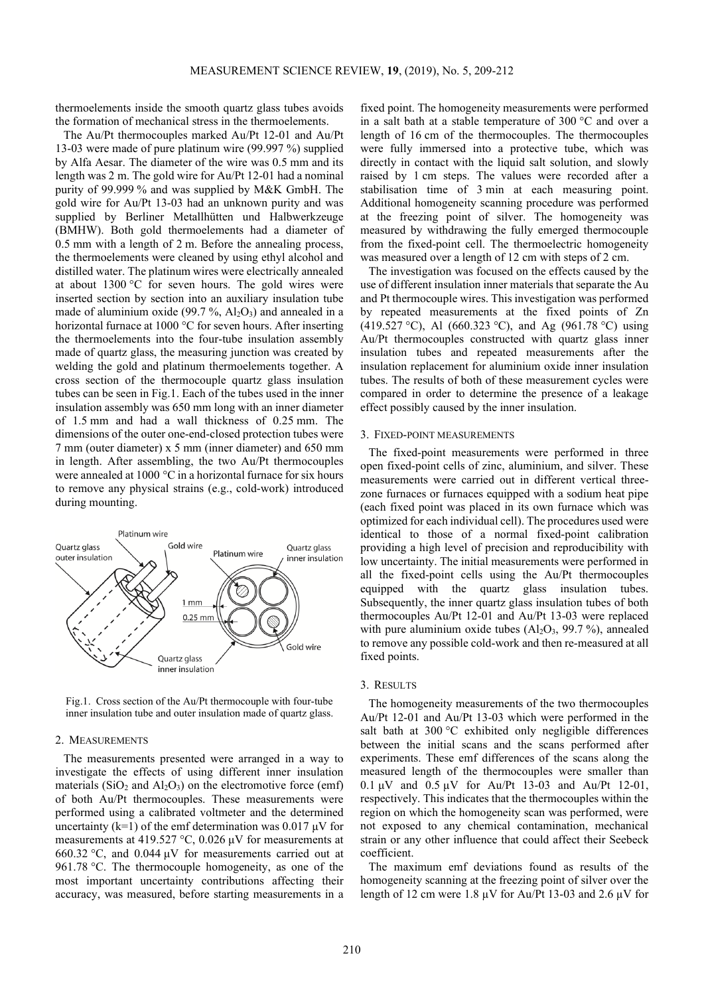thermoelements inside the smooth quartz glass tubes avoids the formation of mechanical stress in the thermoelements.

The Au/Pt thermocouples marked Au/Pt 12-01 and Au/Pt 13-03 were made of pure platinum wire (99.997 %) supplied by Alfa Aesar. The diameter of the wire was 0.5 mm and its length was 2 m. The gold wire for Au/Pt 12-01 had a nominal purity of 99.999 % and was supplied by M&K GmbH. The gold wire for Au/Pt 13-03 had an unknown purity and was supplied by Berliner Metallhütten und Halbwerkzeuge (BMHW). Both gold thermoelements had a diameter of 0.5 mm with a length of 2 m. Before the annealing process, the thermoelements were cleaned by using ethyl alcohol and distilled water. The platinum wires were electrically annealed at about 1300 °C for seven hours. The gold wires were inserted section by section into an auxiliary insulation tube made of aluminium oxide (99.7 %,  $A<sub>1</sub>O<sub>3</sub>$ ) and annealed in a horizontal furnace at 1000 °C for seven hours. After inserting the thermoelements into the four-tube insulation assembly made of quartz glass, the measuring junction was created by welding the gold and platinum thermoelements together. A cross section of the thermocouple quartz glass insulation tubes can be seen in Fig.1. Each of the tubes used in the inner insulation assembly was 650 mm long with an inner diameter of 1.5 mm and had a wall thickness of 0.25 mm. The dimensions of the outer one-end-closed protection tubes were 7 mm (outer diameter) x 5 mm (inner diameter) and 650 mm in length. After assembling, the two Au/Pt thermocouples were annealed at 1000 °C in a horizontal furnace for six hours to remove any physical strains (e.g., cold-work) introduced during mounting.



Fig.1. Cross section of the Au/Pt thermocouple with four-tube inner insulation tube and outer insulation made of quartz glass.

#### 2. MEASUREMENTS

The measurements presented were arranged in a way to investigate the effects of using different inner insulation materials  $(SiO<sub>2</sub>$  and  $A<sub>1</sub>, O<sub>3</sub>$ ) on the electromotive force (emf) of both Au/Pt thermocouples. These measurements were performed using a calibrated voltmeter and the determined uncertainty (k=1) of the emf determination was  $0.017 \mu V$  for measurements at 419.527 °C, 0.026  $\mu$ V for measurements at 660.32 °C, and 0.044 μV for measurements carried out at 961.78 °C. The thermocouple homogeneity, as one of the most important uncertainty contributions affecting their accuracy, was measured, before starting measurements in a

fixed point. The homogeneity measurements were performed in a salt bath at a stable temperature of 300 °C and over a length of 16 cm of the thermocouples. The thermocouples were fully immersed into a protective tube, which was directly in contact with the liquid salt solution, and slowly raised by 1 cm steps. The values were recorded after a stabilisation time of 3 min at each measuring point. Additional homogeneity scanning procedure was performed at the freezing point of silver. The homogeneity was measured by withdrawing the fully emerged thermocouple from the fixed-point cell. The thermoelectric homogeneity was measured over a length of 12 cm with steps of 2 cm.

The investigation was focused on the effects caused by the use of different insulation inner materials that separate the Au and Pt thermocouple wires. This investigation was performed by repeated measurements at the fixed points of Zn (419.527 °C), Al (660.323 °C), and Ag (961.78 °C) using Au/Pt thermocouples constructed with quartz glass inner insulation tubes and repeated measurements after the insulation replacement for aluminium oxide inner insulation tubes. The results of both of these measurement cycles were compared in order to determine the presence of a leakage effect possibly caused by the inner insulation.

#### 3. FIXED-POINT MEASUREMENTS

The fixed-point measurements were performed in three open fixed-point cells of zinc, aluminium, and silver. These measurements were carried out in different vertical threezone furnaces or furnaces equipped with a sodium heat pipe (each fixed point was placed in its own furnace which was optimized for each individual cell). The procedures used were identical to those of a normal fixed-point calibration providing a high level of precision and reproducibility with low uncertainty. The initial measurements were performed in all the fixed-point cells using the Au/Pt thermocouples equipped with the quartz glass insulation tubes. Subsequently, the inner quartz glass insulation tubes of both thermocouples Au/Pt 12-01 and Au/Pt 13-03 were replaced with pure aluminium oxide tubes  $(A<sub>12</sub>O<sub>3</sub>, 99.7%)$ , annealed to remove any possible cold-work and then re-measured at all fixed points.

#### 3. RESULTS

The homogeneity measurements of the two thermocouples Au/Pt 12-01 and Au/Pt 13-03 which were performed in the salt bath at 300 °C exhibited only negligible differences between the initial scans and the scans performed after experiments. These emf differences of the scans along the measured length of the thermocouples were smaller than 0.1 μV and 0.5 µV for Au/Pt 13-03 and Au/Pt 12-01, respectively. This indicates that the thermocouples within the region on which the homogeneity scan was performed, were not exposed to any chemical contamination, mechanical strain or any other influence that could affect their Seebeck coefficient.

The maximum emf deviations found as results of the homogeneity scanning at the freezing point of silver over the length of 12 cm were 1.8  $\mu$ V for Au/Pt 13-03 and 2.6  $\mu$ V for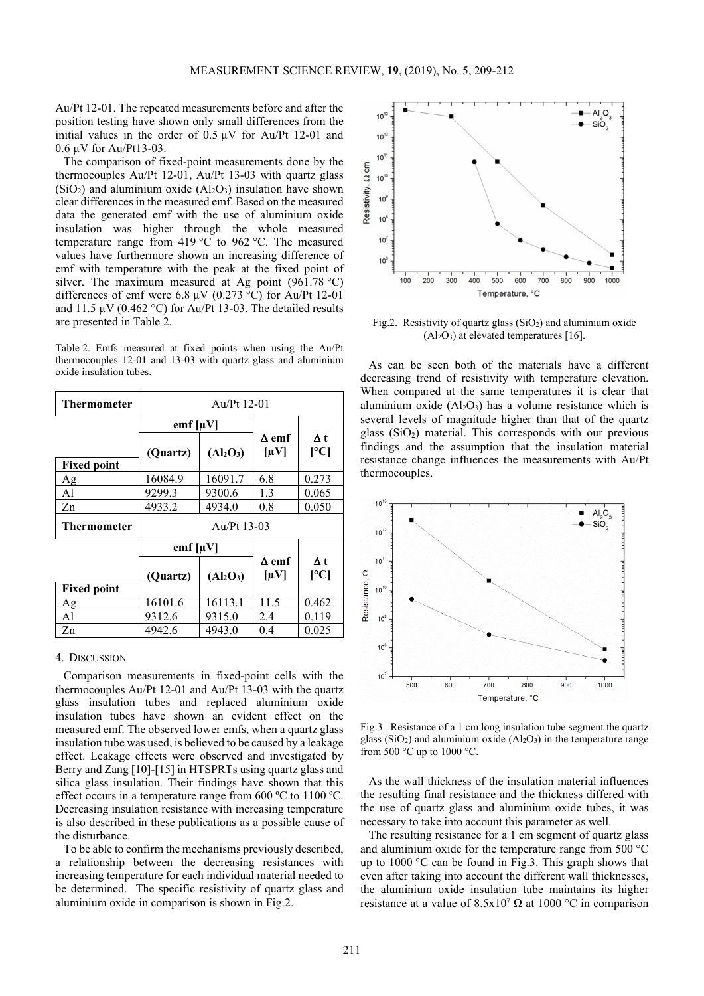Au/Pt 12-01. The repeated measurements before and after the position testing have shown only small differences from the initial values in the order of  $0.5 \mu V$  for Au/Pt 12-01 and 0.6 µV for Au/Pt13-03.

The comparison of fixed-point measurements done by the thermocouples Au/Pt 12-01, Au/Pt 13-03 with quartz glass  $(SiO<sub>2</sub>)$  and aluminium oxide  $(Al<sub>2</sub>O<sub>3</sub>)$  insulation have shown clear differences in the measured emf. Based on the measured data the generated emf with the use of aluminium oxide insulation was higher through the whole measured temperature range from 419 °C to 962 °C. The measured values have furthermore shown an increasing difference of emf with temperature with the peak at the fixed point of silver. The maximum measured at Ag point  $(961.78 \text{ °C})$ differences of emf were 6.8  $\mu$ V (0.273 °C) for Au/Pt 12-01 and 11.5  $\mu$ V (0.462 °C) for Au/Pt 13-03. The detailed results are presented in Table 2.

Table 2. Emfs measured at fixed points when using the Au/Pt thermocouples 12-01 and 13-03 with quartz glass and aluminium oxide insulation tubes.

| Thermometer        | Au/Pt 12-01               |                                   |                           |                    |
|--------------------|---------------------------|-----------------------------------|---------------------------|--------------------|
|                    | emf $\lceil \mu V \rceil$ |                                   |                           |                    |
| <b>Fixed point</b> | (Quartz)                  | (Al <sub>2</sub> O <sub>3</sub> ) | $\Delta$ emf<br>$[\mu V]$ | Δt<br>$\mathsf{C}$ |
| Ag                 | 16084.9                   | 16091.7                           | 6.8                       | 0.273              |
| Al                 | 9299.3                    | 9300.6                            | 1.3                       | 0.065              |
| Zn                 | 4933.2                    | 4934.0                            | 0.8                       | 0.050              |
|                    | Au/Pt $13-03$             |                                   |                           |                    |
| Thermometer        |                           |                                   |                           |                    |
|                    | emf $\lceil \mu V \rceil$ |                                   |                           |                    |
|                    | (Quartz)                  | (AI <sub>2</sub> O <sub>3</sub> ) | A emf<br>$\mu$ V          | Λt<br>$\mathsf{C}$ |
| <b>Fixed point</b> |                           |                                   |                           |                    |
| Ag<br>Al           | 16101.6<br>9312.6         | 16113.1<br>9315.0                 | 11.5<br>2.4               | 0.462<br>0.119     |

#### 4. DISCUSSION

Comparison measurements in fixed-point cells with the thermocouples Au/Pt 12-01 and Au/Pt 13-03 with the quartz glass insulation tubes and replaced aluminium oxide insulation tubes have shown an evident effect on the measured emf. The observed lower emfs, when a quartz glass insulation tube was used, is believed to be caused by a leakage effect. Leakage effects were observed and investigated by Berry and Zang [10]-[15] in HTSPRTs using quartz glass and silica glass insulation. Their findings have shown that this effect occurs in a temperature range from 600 ºC to 1100 ºC. Decreasing insulation resistance with increasing temperature is also described in these publications as a possible cause of the disturbance.

To be able to confirm the mechanisms previously described, a relationship between the decreasing resistances with increasing temperature for each individual material needed to be determined. The specific resistivity of quartz glass and aluminium oxide in comparison is shown in Fig.2.



Fig.2. Resistivity of quartz glass  $(SiO<sub>2</sub>)$  and aluminium oxide  $(A<sub>2</sub>O<sub>3</sub>)$  at elevated temperatures [16].

As can be seen both of the materials have a different decreasing trend of resistivity with temperature elevation. When compared at the same temperatures it is clear that aluminium oxide  $(Al_2O_3)$  has a volume resistance which is several levels of magnitude higher than that of the quartz glass  $(SiO<sub>2</sub>)$  material. This corresponds with our previous findings and the assumption that the insulation material resistance change influences the measurements with Au/Pt thermocouples.



Fig.3. Resistance of a 1 cm long insulation tube segment the quartz glass  $(SiO<sub>2</sub>)$  and aluminium oxide  $(A<sub>12</sub>O<sub>3</sub>)$  in the temperature range from 500 $\degree$ C up to 1000 $\degree$ C.

As the wall thickness of the insulation material influences the resulting final resistance and the thickness differed with the use of quartz glass and aluminium oxide tubes, it was necessary to take into account this parameter as well.

The resulting resistance for a 1 cm segment of quartz glass and aluminium oxide for the temperature range from 500 °C up to 1000 °C can be found in Fig.3. This graph shows that even after taking into account the different wall thicknesses, the aluminium oxide insulation tube maintains its higher resistance at a value of  $8.5x10^7 \Omega$  at 1000 °C in comparison